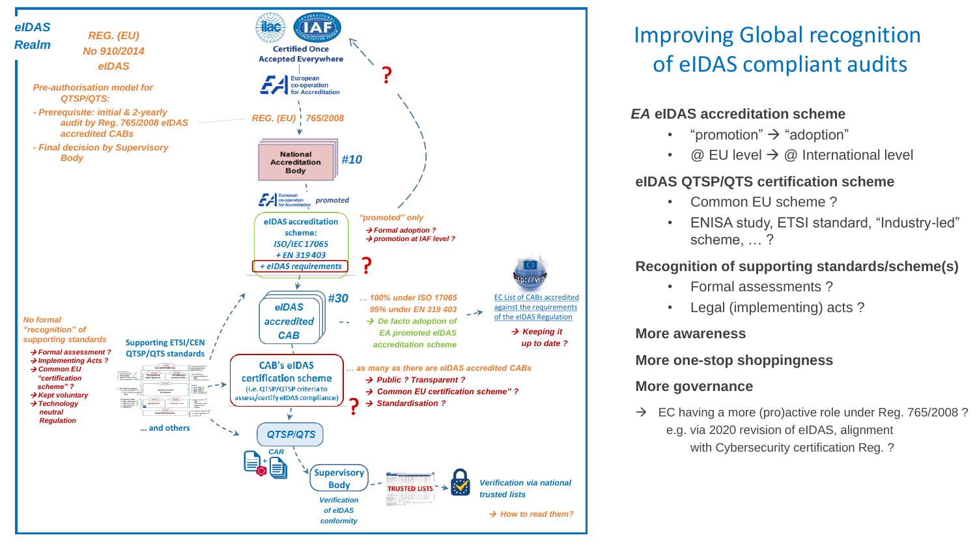

# Improving Global recognition of eIDAS compliant audits

## *EA* **eIDAS accreditation scheme**

- "promotion"  $\rightarrow$  "adoption"
- $@$  EU level  $\rightarrow @$  International level

## **eIDAS QTSP/QTS certification scheme**

- Common EU scheme ?
- ENISA study, ETSI standard, "Industry-led" scheme, … ?

# **Recognition of supporting standards/scheme(s)**

- Formal assessments ?
- Legal (implementing) acts?

### **More awareness**

### **More one-stop shoppingness**

# **More governance**

 $\rightarrow$  EC having a more (pro)active role under Reg. 765/2008? e.g. via 2020 revision of eIDAS, alignment with Cybersecurity certification Reg. ?